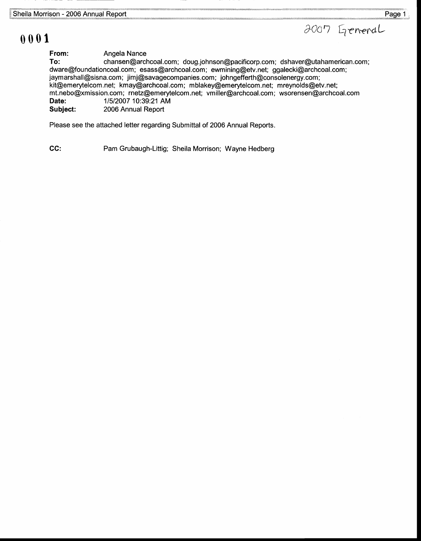

## 0001

Angela Nance From:

chansen@archcoal.com; doug.johnson@pacificorp.com; dshaver@utahamerican.com; 11512007 10:39:21 AM dware@foundationcoal.com; esass@archcoal.com; ewmining@etv.net; ggalecki@archcoal.com; jaymarshall@sisna.com; jimj@savagecompanies.com; johngefferth@consolenergy.com; kit@emerytelcom.net; kmay@archcoal.com; mblakey@emerytelcom.net; mreynolds@etv.net; mt.nebo@xmission.com; rnetz@emerytelcom.net; vmiller@archcoal.com; wsorensen@archcoal.com To: Date:

2006 Annual Report Subject:

Please see the attached letter regarding Submittal of 2006 Annual Reports.

CC: Pam Grubaugh-Littig; Sheila Morrison; Wayne Hedberg